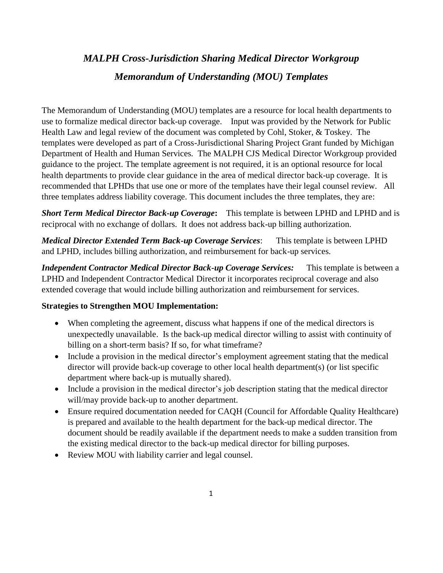# *MALPH Cross-Jurisdiction Sharing Medical Director Workgroup Memorandum of Understanding (MOU) Templates*

The Memorandum of Understanding (MOU) templates are a resource for local health departments to use to formalize medical director back-up coverage. Input was provided by the Network for Public Health Law and legal review of the document was completed by Cohl, Stoker, & Toskey. The templates were developed as part of a Cross-Jurisdictional Sharing Project Grant funded by Michigan Department of Health and Human Services. The MALPH CJS Medical Director Workgroup provided guidance to the project. The template agreement is not required, it is an optional resource for local health departments to provide clear guidance in the area of medical director back-up coverage. It is recommended that LPHDs that use one or more of the templates have their legal counsel review. All three templates address liability coverage. This document includes the three templates, they are:

*Short Term Medical Director Back-up Coverage***:** This template is between LPHD and LPHD and is reciprocal with no exchange of dollars. It does not address back-up billing authorization.

*Medical Director Extended Term Back-up Coverage Services*: This template is between LPHD and LPHD, includes billing authorization, and reimbursement for back-up services.

*Independent Contractor Medical Director Back-up Coverage Services:* This template is between a LPHD and Independent Contractor Medical Director it incorporates reciprocal coverage and also extended coverage that would include billing authorization and reimbursement for services.

#### **Strategies to Strengthen MOU Implementation:**

- When completing the agreement, discuss what happens if one of the medical directors is unexpectedly unavailable. Is the back-up medical director willing to assist with continuity of billing on a short-term basis? If so, for what timeframe?
- Include a provision in the medical director's employment agreement stating that the medical director will provide back-up coverage to other local health department(s) (or list specific department where back-up is mutually shared).
- Include a provision in the medical director's job description stating that the medical director will/may provide back-up to another department.
- Ensure required documentation needed for CAQH (Council for Affordable Quality Healthcare) is prepared and available to the health department for the back-up medical director. The document should be readily available if the department needs to make a sudden transition from the existing medical director to the back-up medical director for billing purposes.
- Review MOU with liability carrier and legal counsel.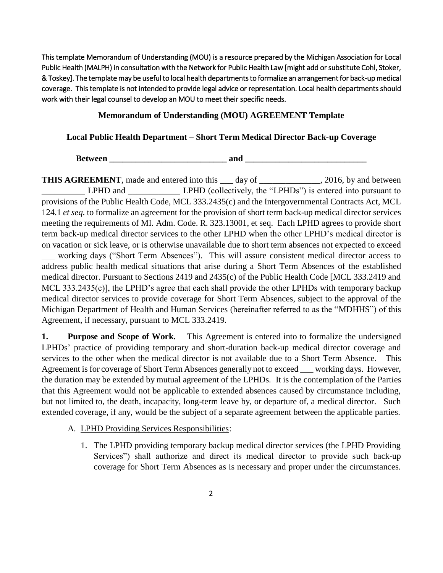This template Memorandum of Understanding (MOU) is a resource prepared by the Michigan Association for Local Public Health (MALPH) in consultation with the Network for Public Health Law [might add or substitute Cohl, Stoker, & Toskey]. The template may be useful to local health departments to formalize an arrangement for back-up medical coverage. This template is not intended to provide legal advice or representation. Local health departments should work with their legal counsel to develop an MOU to meet their specific needs.

#### **Memorandum of Understanding (MOU) AGREEMENT Template**

#### **Local Public Health Department – Short Term Medical Director Back-up Coverage**

**Between \_\_\_\_\_\_\_\_\_\_\_\_\_\_\_\_\_\_\_\_\_\_\_\_\_\_\_ and \_\_\_\_\_\_\_\_\_\_\_\_\_\_\_\_\_\_\_\_\_\_\_\_\_\_\_\_**

**THIS AGREEMENT**, made and entered into this day of 2016, by and between LPHD and \_\_\_\_\_\_\_\_\_\_\_\_\_\_\_ LPHD (collectively, the "LPHDs") is entered into pursuant to provisions of the Public Health Code, MCL 333.2435(c) and the Intergovernmental Contracts Act, MCL 124.1 *et seq.* to formalize an agreement for the provision of short term back-up medical director services meeting the requirements of MI. Adm. Code. R. 323.13001, et seq. Each LPHD agrees to provide short term back-up medical director services to the other LPHD when the other LPHD's medical director is on vacation or sick leave, or is otherwise unavailable due to short term absences not expected to exceed working days ("Short Term Absences"). This will assure consistent medical director access to address public health medical situations that arise during a Short Term Absences of the established medical director. Pursuant to Sections 2419 and 2435(c) of the Public Health Code [MCL 333.2419 and MCL 333.2435(c)], the LPHD's agree that each shall provide the other LPHDs with temporary backup medical director services to provide coverage for Short Term Absences, subject to the approval of the Michigan Department of Health and Human Services (hereinafter referred to as the "MDHHS") of this Agreement, if necessary, pursuant to MCL 333.2419.

**1.** Purpose and Scope of Work. This Agreement is entered into to formalize the undersigned LPHDs' practice of providing temporary and short-duration back-up medical director coverage and services to the other when the medical director is not available due to a Short Term Absence. This Agreement is for coverage of Short Term Absences generally not to exceed \_\_\_ working days. However, the duration may be extended by mutual agreement of the LPHDs. It is the contemplation of the Parties that this Agreement would not be applicable to extended absences caused by circumstance including, but not limited to, the death, incapacity, long-term leave by, or departure of, a medical director. Such extended coverage, if any, would be the subject of a separate agreement between the applicable parties.

- A. LPHD Providing Services Responsibilities:
	- 1. The LPHD providing temporary backup medical director services (the LPHD Providing Services") shall authorize and direct its medical director to provide such back-up coverage for Short Term Absences as is necessary and proper under the circumstances.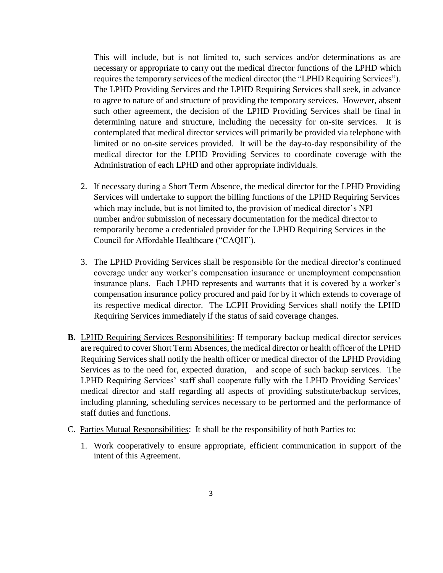This will include, but is not limited to, such services and/or determinations as are necessary or appropriate to carry out the medical director functions of the LPHD which requires the temporary services of the medical director (the "LPHD Requiring Services"). The LPHD Providing Services and the LPHD Requiring Services shall seek, in advance to agree to nature of and structure of providing the temporary services. However, absent such other agreement, the decision of the LPHD Providing Services shall be final in determining nature and structure, including the necessity for on-site services. It is contemplated that medical director services will primarily be provided via telephone with limited or no on-site services provided. It will be the day-to-day responsibility of the medical director for the LPHD Providing Services to coordinate coverage with the Administration of each LPHD and other appropriate individuals.

- 2. If necessary during a Short Term Absence, the medical director for the LPHD Providing Services will undertake to support the billing functions of the LPHD Requiring Services which may include, but is not limited to, the provision of medical director's NPI number and/or submission of necessary documentation for the medical director to temporarily become a credentialed provider for the LPHD Requiring Services in the Council for Affordable Healthcare ("CAQH").
- 3. The LPHD Providing Services shall be responsible for the medical director's continued coverage under any worker's compensation insurance or unemployment compensation insurance plans. Each LPHD represents and warrants that it is covered by a worker's compensation insurance policy procured and paid for by it which extends to coverage of its respective medical director. The LCPH Providing Services shall notify the LPHD Requiring Services immediately if the status of said coverage changes.
- **B.** LPHD Requiring Services Responsibilities: If temporary backup medical director services are required to cover Short Term Absences, the medical director or health officer of the LPHD Requiring Services shall notify the health officer or medical director of the LPHD Providing Services as to the need for, expected duration, and scope of such backup services. The LPHD Requiring Services' staff shall cooperate fully with the LPHD Providing Services' medical director and staff regarding all aspects of providing substitute/backup services, including planning, scheduling services necessary to be performed and the performance of staff duties and functions.
- C. Parties Mutual Responsibilities: It shall be the responsibility of both Parties to:
	- 1. Work cooperatively to ensure appropriate, efficient communication in support of the intent of this Agreement.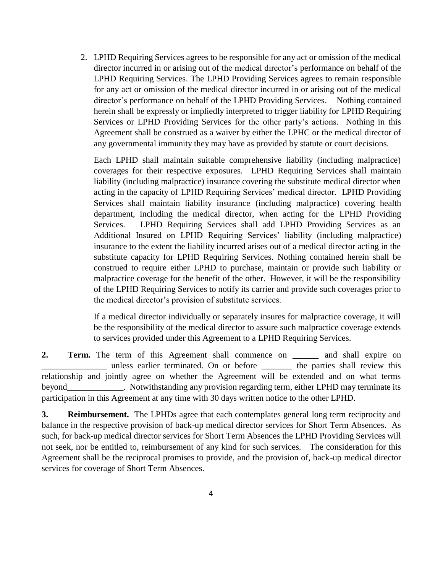2. LPHD Requiring Services agrees to be responsible for any act or omission of the medical director incurred in or arising out of the medical director's performance on behalf of the LPHD Requiring Services. The LPHD Providing Services agrees to remain responsible for any act or omission of the medical director incurred in or arising out of the medical director's performance on behalf of the LPHD Providing Services. Nothing contained herein shall be expressly or impliedly interpreted to trigger liability for LPHD Requiring Services or LPHD Providing Services for the other party's actions. Nothing in this Agreement shall be construed as a waiver by either the LPHC or the medical director of any governmental immunity they may have as provided by statute or court decisions.

Each LPHD shall maintain suitable comprehensive liability (including malpractice) coverages for their respective exposures. LPHD Requiring Services shall maintain liability (including malpractice) insurance covering the substitute medical director when acting in the capacity of LPHD Requiring Services' medical director. LPHD Providing Services shall maintain liability insurance (including malpractice) covering health department, including the medical director, when acting for the LPHD Providing Services. LPHD Requiring Services shall add LPHD Providing Services as an Additional Insured on LPHD Requiring Services' liability (including malpractice) insurance to the extent the liability incurred arises out of a medical director acting in the substitute capacity for LPHD Requiring Services. Nothing contained herein shall be construed to require either LPHD to purchase, maintain or provide such liability or malpractice coverage for the benefit of the other. However, it will be the responsibility of the LPHD Requiring Services to notify its carrier and provide such coverages prior to the medical director's provision of substitute services.

If a medical director individually or separately insures for malpractice coverage, it will be the responsibility of the medical director to assure such malpractice coverage extends to services provided under this Agreement to a LPHD Requiring Services.

**2. Term.** The term of this Agreement shall commence on \_\_\_\_\_\_ and shall expire on \_\_\_\_\_\_\_\_\_\_\_\_\_\_\_ unless earlier terminated. On or before \_\_\_\_\_\_\_ the parties shall review this relationship and jointly agree on whether the Agreement will be extended and on what terms beyond\_\_\_\_\_\_\_\_\_\_\_\_\_. Notwithstanding any provision regarding term, either LPHD may terminate its participation in this Agreement at any time with 30 days written notice to the other LPHD.

**3. Reimbursement.** The LPHDs agree that each contemplates general long term reciprocity and balance in the respective provision of back-up medical director services for Short Term Absences. As such, for back-up medical director services for Short Term Absences the LPHD Providing Services will not seek, nor be entitled to, reimbursement of any kind for such services. The consideration for this Agreement shall be the reciprocal promises to provide, and the provision of, back-up medical director services for coverage of Short Term Absences.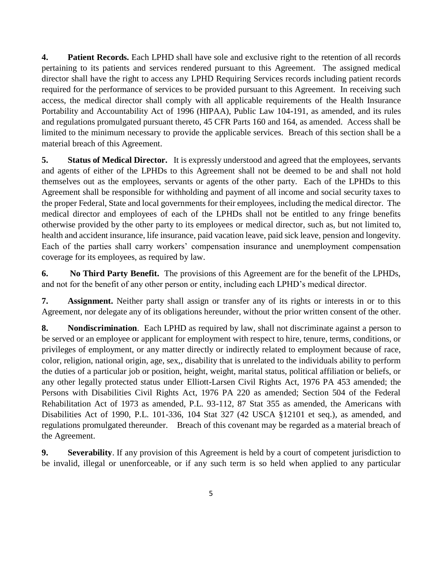**4. Patient Records.** Each LPHD shall have sole and exclusive right to the retention of all records pertaining to its patients and services rendered pursuant to this Agreement. The assigned medical director shall have the right to access any LPHD Requiring Services records including patient records required for the performance of services to be provided pursuant to this Agreement. In receiving such access, the medical director shall comply with all applicable requirements of the Health Insurance Portability and Accountability Act of 1996 (HIPAA), Public Law 104-191, as amended, and its rules and regulations promulgated pursuant thereto, 45 CFR Parts 160 and 164, as amended. Access shall be limited to the minimum necessary to provide the applicable services. Breach of this section shall be a material breach of this Agreement.

**5.** Status of Medical Director. It is expressly understood and agreed that the employees, servants and agents of either of the LPHDs to this Agreement shall not be deemed to be and shall not hold themselves out as the employees, servants or agents of the other party. Each of the LPHDs to this Agreement shall be responsible for withholding and payment of all income and social security taxes to the proper Federal, State and local governments for their employees, including the medical director. The medical director and employees of each of the LPHDs shall not be entitled to any fringe benefits otherwise provided by the other party to its employees or medical director, such as, but not limited to, health and accident insurance, life insurance, paid vacation leave, paid sick leave, pension and longevity. Each of the parties shall carry workers' compensation insurance and unemployment compensation coverage for its employees, as required by law.

**6. No Third Party Benefit.** The provisions of this Agreement are for the benefit of the LPHDs, and not for the benefit of any other person or entity, including each LPHD's medical director.

**7. Assignment.** Neither party shall assign or transfer any of its rights or interests in or to this Agreement, nor delegate any of its obligations hereunder, without the prior written consent of the other.

**8. Nondiscrimination**. Each LPHD as required by law, shall not discriminate against a person to be served or an employee or applicant for employment with respect to hire, tenure, terms, conditions, or privileges of employment, or any matter directly or indirectly related to employment because of race, color, religion, national origin, age, sex,, disability that is unrelated to the individuals ability to perform the duties of a particular job or position, height, weight, marital status, political affiliation or beliefs, or any other legally protected status under Elliott-Larsen Civil Rights Act, 1976 PA 453 amended; the Persons with Disabilities Civil Rights Act, 1976 PA 220 as amended; Section 504 of the Federal Rehabilitation Act of 1973 as amended, P.L. 93-112, 87 Stat 355 as amended, the Americans with Disabilities Act of 1990, P.L. 101-336, 104 Stat 327 (42 USCA §12101 et seq.), as amended, and regulations promulgated thereunder. Breach of this covenant may be regarded as a material breach of the Agreement.

**9. Severability**. If any provision of this Agreement is held by a court of competent jurisdiction to be invalid, illegal or unenforceable, or if any such term is so held when applied to any particular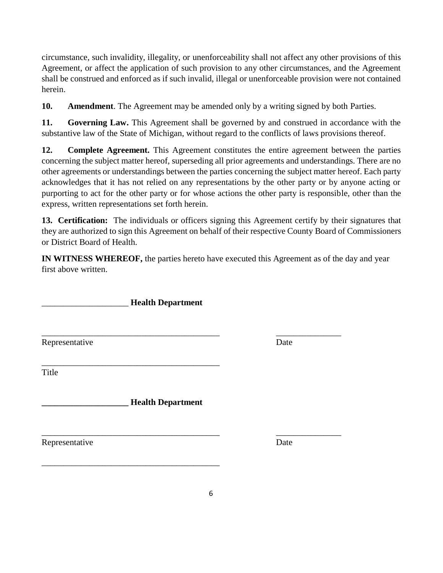circumstance, such invalidity, illegality, or unenforceability shall not affect any other provisions of this Agreement, or affect the application of such provision to any other circumstances, and the Agreement shall be construed and enforced as if such invalid, illegal or unenforceable provision were not contained herein.

**10. Amendment**. The Agreement may be amended only by a writing signed by both Parties.

**11. Governing Law.** This Agreement shall be governed by and construed in accordance with the substantive law of the State of Michigan, without regard to the conflicts of laws provisions thereof.

**12. Complete Agreement.** This Agreement constitutes the entire agreement between the parties concerning the subject matter hereof, superseding all prior agreements and understandings. There are no other agreements or understandings between the parties concerning the subject matter hereof. Each party acknowledges that it has not relied on any representations by the other party or by anyone acting or purporting to act for the other party or for whose actions the other party is responsible, other than the express, written representations set forth herein.

**13. Certification:** The individuals or officers signing this Agreement certify by their signatures that they are authorized to sign this Agreement on behalf of their respective County Board of Commissioners or District Board of Health.

**IN WITNESS WHEREOF,** the parties hereto have executed this Agreement as of the day and year first above written.

\_\_\_\_\_\_\_\_\_\_\_\_\_\_\_\_\_\_\_\_ **Health Department**

\_\_\_\_\_\_\_\_\_\_\_\_\_\_\_\_\_\_\_\_\_\_\_\_\_\_\_\_\_\_\_\_\_\_\_\_\_\_\_\_\_

Representative Date

\_\_\_\_\_\_\_\_\_\_\_\_\_\_\_\_\_\_\_\_\_\_\_\_\_\_\_\_\_\_\_\_\_\_\_\_\_\_\_\_\_ \_\_\_\_\_\_\_\_\_\_\_\_\_\_\_

\_\_\_\_\_\_\_\_\_\_\_\_\_\_\_\_\_\_\_\_\_\_\_\_\_\_\_\_\_\_\_\_\_\_\_\_\_\_\_\_\_ **Title** 

**\_\_\_\_\_\_\_\_\_\_\_\_\_\_\_\_\_\_\_\_ Health Department**

\_\_\_\_\_\_\_\_\_\_\_\_\_\_\_\_\_\_\_\_\_\_\_\_\_\_\_\_\_\_\_\_\_\_\_\_\_\_\_\_\_ \_\_\_\_\_\_\_\_\_\_\_\_\_\_\_ Representative Date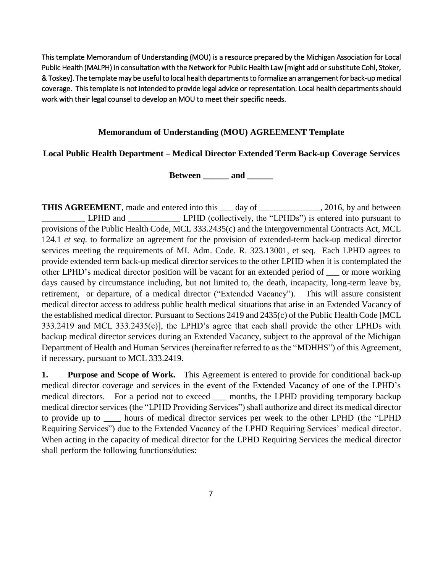This template Memorandum of Understanding (MOU) is a resource prepared by the Michigan Association for Local Public Health (MALPH) in consultation with the Network for Public Health Law [might add or substitute Cohl, Stoker, & Toskey]. The template may be useful to local health departments to formalize an arrangement for back-up medical coverage. This template is not intended to provide legal advice or representation. Local health departments should work with their legal counsel to develop an MOU to meet their specific needs.

#### **Memorandum of Understanding (MOU) AGREEMENT Template**

#### **Local Public Health Department – Medical Director Extended Term Back-up Coverage Services**

**Between** and

**THIS AGREEMENT**, made and entered into this \_\_\_ day of \_\_\_\_\_\_\_\_\_\_\_\_, 2016, by and between LPHD and LPHD (collectively, the "LPHDs") is entered into pursuant to provisions of the Public Health Code, MCL 333.2435(c) and the Intergovernmental Contracts Act, MCL 124.1 *et seq.* to formalize an agreement for the provision of extended-term back-up medical director services meeting the requirements of MI. Adm. Code. R. 323.13001, et seq. Each LPHD agrees to provide extended term back-up medical director services to the other LPHD when it is contemplated the other LPHD's medical director position will be vacant for an extended period of \_\_\_ or more working days caused by circumstance including, but not limited to, the death, incapacity, long-term leave by, retirement, or departure, of a medical director ("Extended Vacancy"). This will assure consistent medical director access to address public health medical situations that arise in an Extended Vacancy of the established medical director. Pursuant to Sections 2419 and 2435(c) of the Public Health Code [MCL 333.2419 and MCL 333.2435(c)], the LPHD's agree that each shall provide the other LPHDs with backup medical director services during an Extended Vacancy, subject to the approval of the Michigan Department of Health and Human Services (hereinafter referred to as the "MDHHS") of this Agreement, if necessary, pursuant to MCL 333.2419.

**1.** Purpose and Scope of Work. This Agreement is entered to provide for conditional back-up medical director coverage and services in the event of the Extended Vacancy of one of the LPHD's medical directors. For a period not to exceed \_\_\_ months, the LPHD providing temporary backup medical director services (the "LPHD Providing Services") shall authorize and direct its medical director to provide up to \_\_\_\_ hours of medical director services per week to the other LPHD (the "LPHD Requiring Services") due to the Extended Vacancy of the LPHD Requiring Services' medical director. When acting in the capacity of medical director for the LPHD Requiring Services the medical director shall perform the following functions/duties: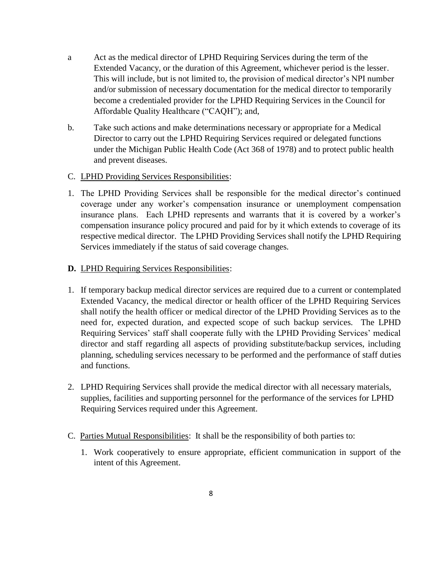- a Act as the medical director of LPHD Requiring Services during the term of the Extended Vacancy, or the duration of this Agreement, whichever period is the lesser. This will include, but is not limited to, the provision of medical director's NPI number and/or submission of necessary documentation for the medical director to temporarily become a credentialed provider for the LPHD Requiring Services in the Council for Affordable Quality Healthcare ("CAQH"); and,
- b. Take such actions and make determinations necessary or appropriate for a Medical Director to carry out the LPHD Requiring Services required or delegated functions under the Michigan Public Health Code (Act 368 of 1978) and to protect public health and prevent diseases.

#### C. LPHD Providing Services Responsibilities:

1. The LPHD Providing Services shall be responsible for the medical director's continued coverage under any worker's compensation insurance or unemployment compensation insurance plans. Each LPHD represents and warrants that it is covered by a worker's compensation insurance policy procured and paid for by it which extends to coverage of its respective medical director. The LPHD Providing Services shall notify the LPHD Requiring Services immediately if the status of said coverage changes.

#### **D.** LPHD Requiring Services Responsibilities:

- 1. If temporary backup medical director services are required due to a current or contemplated Extended Vacancy, the medical director or health officer of the LPHD Requiring Services shall notify the health officer or medical director of the LPHD Providing Services as to the need for, expected duration, and expected scope of such backup services. The LPHD Requiring Services' staff shall cooperate fully with the LPHD Providing Services' medical director and staff regarding all aspects of providing substitute/backup services, including planning, scheduling services necessary to be performed and the performance of staff duties and functions.
- 2. LPHD Requiring Services shall provide the medical director with all necessary materials, supplies, facilities and supporting personnel for the performance of the services for LPHD Requiring Services required under this Agreement.
- C. Parties Mutual Responsibilities: It shall be the responsibility of both parties to:
	- 1. Work cooperatively to ensure appropriate, efficient communication in support of the intent of this Agreement.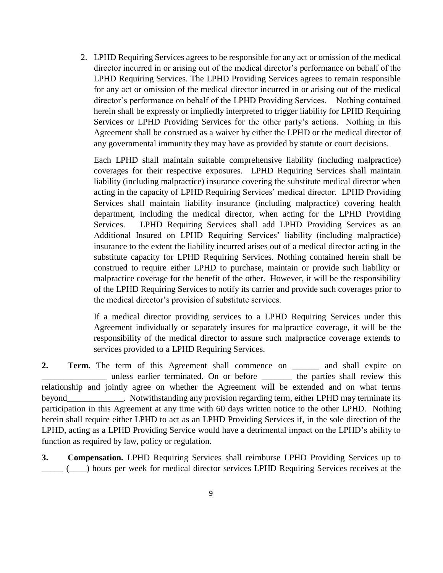2. LPHD Requiring Services agrees to be responsible for any act or omission of the medical director incurred in or arising out of the medical director's performance on behalf of the LPHD Requiring Services. The LPHD Providing Services agrees to remain responsible for any act or omission of the medical director incurred in or arising out of the medical director's performance on behalf of the LPHD Providing Services. Nothing contained herein shall be expressly or impliedly interpreted to trigger liability for LPHD Requiring Services or LPHD Providing Services for the other party's actions. Nothing in this Agreement shall be construed as a waiver by either the LPHD or the medical director of any governmental immunity they may have as provided by statute or court decisions.

Each LPHD shall maintain suitable comprehensive liability (including malpractice) coverages for their respective exposures. LPHD Requiring Services shall maintain liability (including malpractice) insurance covering the substitute medical director when acting in the capacity of LPHD Requiring Services' medical director. LPHD Providing Services shall maintain liability insurance (including malpractice) covering health department, including the medical director, when acting for the LPHD Providing Services. LPHD Requiring Services shall add LPHD Providing Services as an Additional Insured on LPHD Requiring Services' liability (including malpractice) insurance to the extent the liability incurred arises out of a medical director acting in the substitute capacity for LPHD Requiring Services. Nothing contained herein shall be construed to require either LPHD to purchase, maintain or provide such liability or malpractice coverage for the benefit of the other. However, it will be the responsibility of the LPHD Requiring Services to notify its carrier and provide such coverages prior to the medical director's provision of substitute services.

If a medical director providing services to a LPHD Requiring Services under this Agreement individually or separately insures for malpractice coverage, it will be the responsibility of the medical director to assure such malpractice coverage extends to services provided to a LPHD Requiring Services.

**2. Term.** The term of this Agreement shall commence on \_\_\_\_\_\_ and shall expire on \_\_\_\_\_\_\_\_\_\_\_\_\_\_\_ unless earlier terminated. On or before \_\_\_\_\_\_\_ the parties shall review this relationship and jointly agree on whether the Agreement will be extended and on what terms beyond\_\_\_\_\_\_\_\_\_\_\_\_\_. Notwithstanding any provision regarding term, either LPHD may terminate its participation in this Agreement at any time with 60 days written notice to the other LPHD. Nothing herein shall require either LPHD to act as an LPHD Providing Services if, in the sole direction of the LPHD, acting as a LPHD Providing Service would have a detrimental impact on the LPHD's ability to function as required by law, policy or regulation.

**3. Compensation.** LPHD Requiring Services shall reimburse LPHD Providing Services up to \_\_\_\_\_ (\_\_\_\_) hours per week for medical director services LPHD Requiring Services receives at the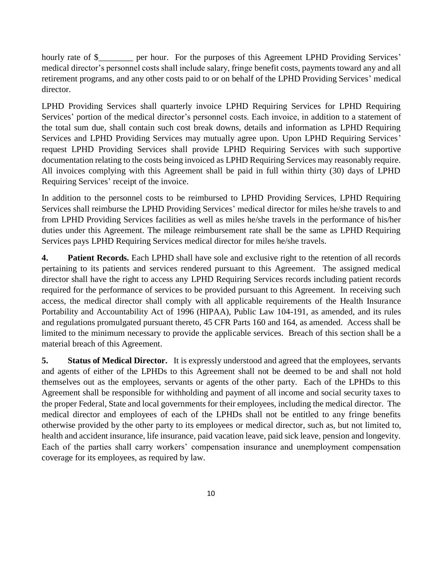hourly rate of \$\_\_\_\_\_\_\_\_ per hour. For the purposes of this Agreement LPHD Providing Services' medical director's personnel costs shall include salary, fringe benefit costs, payments toward any and all retirement programs, and any other costs paid to or on behalf of the LPHD Providing Services' medical director.

LPHD Providing Services shall quarterly invoice LPHD Requiring Services for LPHD Requiring Services' portion of the medical director's personnel costs. Each invoice, in addition to a statement of the total sum due, shall contain such cost break downs, details and information as LPHD Requiring Services and LPHD Providing Services may mutually agree upon. Upon LPHD Requiring Services' request LPHD Providing Services shall provide LPHD Requiring Services with such supportive documentation relating to the costs being invoiced as LPHD Requiring Services may reasonably require. All invoices complying with this Agreement shall be paid in full within thirty (30) days of LPHD Requiring Services' receipt of the invoice.

In addition to the personnel costs to be reimbursed to LPHD Providing Services, LPHD Requiring Services shall reimburse the LPHD Providing Services' medical director for miles he/she travels to and from LPHD Providing Services facilities as well as miles he/she travels in the performance of his/her duties under this Agreement. The mileage reimbursement rate shall be the same as LPHD Requiring Services pays LPHD Requiring Services medical director for miles he/she travels.

**4. Patient Records.** Each LPHD shall have sole and exclusive right to the retention of all records pertaining to its patients and services rendered pursuant to this Agreement. The assigned medical director shall have the right to access any LPHD Requiring Services records including patient records required for the performance of services to be provided pursuant to this Agreement. In receiving such access, the medical director shall comply with all applicable requirements of the Health Insurance Portability and Accountability Act of 1996 (HIPAA), Public Law 104-191, as amended, and its rules and regulations promulgated pursuant thereto, 45 CFR Parts 160 and 164, as amended. Access shall be limited to the minimum necessary to provide the applicable services. Breach of this section shall be a material breach of this Agreement.

**5.** Status of Medical Director. It is expressly understood and agreed that the employees, servants and agents of either of the LPHDs to this Agreement shall not be deemed to be and shall not hold themselves out as the employees, servants or agents of the other party. Each of the LPHDs to this Agreement shall be responsible for withholding and payment of all income and social security taxes to the proper Federal, State and local governments for their employees, including the medical director. The medical director and employees of each of the LPHDs shall not be entitled to any fringe benefits otherwise provided by the other party to its employees or medical director, such as, but not limited to, health and accident insurance, life insurance, paid vacation leave, paid sick leave, pension and longevity. Each of the parties shall carry workers' compensation insurance and unemployment compensation coverage for its employees, as required by law.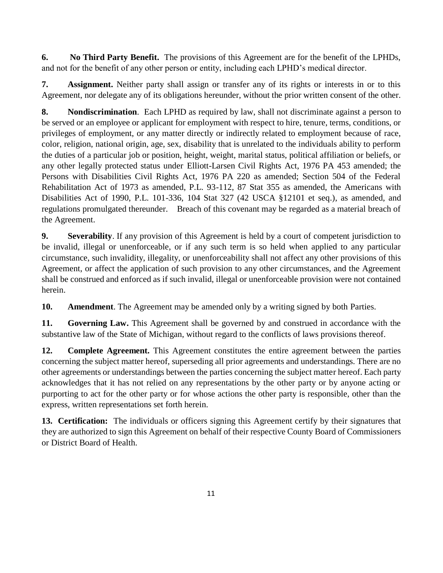**6. No Third Party Benefit.** The provisions of this Agreement are for the benefit of the LPHDs, and not for the benefit of any other person or entity, including each LPHD's medical director.

**7. Assignment.** Neither party shall assign or transfer any of its rights or interests in or to this Agreement, nor delegate any of its obligations hereunder, without the prior written consent of the other.

**8. Nondiscrimination**. Each LPHD as required by law, shall not discriminate against a person to be served or an employee or applicant for employment with respect to hire, tenure, terms, conditions, or privileges of employment, or any matter directly or indirectly related to employment because of race, color, religion, national origin, age, sex, disability that is unrelated to the individuals ability to perform the duties of a particular job or position, height, weight, marital status, political affiliation or beliefs, or any other legally protected status under Elliott-Larsen Civil Rights Act, 1976 PA 453 amended; the Persons with Disabilities Civil Rights Act, 1976 PA 220 as amended; Section 504 of the Federal Rehabilitation Act of 1973 as amended, P.L. 93-112, 87 Stat 355 as amended, the Americans with Disabilities Act of 1990, P.L. 101-336, 104 Stat 327 (42 USCA §12101 et seq.), as amended, and regulations promulgated thereunder. Breach of this covenant may be regarded as a material breach of the Agreement.

**9. Severability**. If any provision of this Agreement is held by a court of competent jurisdiction to be invalid, illegal or unenforceable, or if any such term is so held when applied to any particular circumstance, such invalidity, illegality, or unenforceability shall not affect any other provisions of this Agreement, or affect the application of such provision to any other circumstances, and the Agreement shall be construed and enforced as if such invalid, illegal or unenforceable provision were not contained herein.

**10. Amendment**. The Agreement may be amended only by a writing signed by both Parties.

**11. Governing Law.** This Agreement shall be governed by and construed in accordance with the substantive law of the State of Michigan, without regard to the conflicts of laws provisions thereof.

**12. Complete Agreement.** This Agreement constitutes the entire agreement between the parties concerning the subject matter hereof, superseding all prior agreements and understandings. There are no other agreements or understandings between the parties concerning the subject matter hereof. Each party acknowledges that it has not relied on any representations by the other party or by anyone acting or purporting to act for the other party or for whose actions the other party is responsible, other than the express, written representations set forth herein.

**13. Certification:** The individuals or officers signing this Agreement certify by their signatures that they are authorized to sign this Agreement on behalf of their respective County Board of Commissioners or District Board of Health.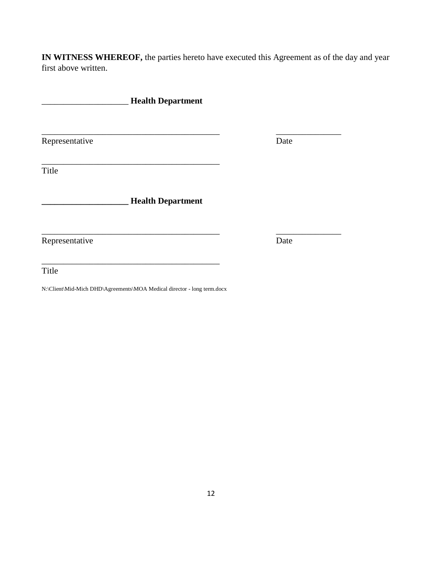**IN WITNESS WHEREOF,** the parties hereto have executed this Agreement as of the day and year first above written.

|                | <b>Health Department</b> |      |
|----------------|--------------------------|------|
| Representative |                          | Date |
|                |                          |      |
| Title          |                          |      |
|                | <b>Health Department</b> |      |
| Representative |                          | Date |
| Title          |                          |      |

N:\Client\Mid-Mich DHD\Agreements\MOA Medical director - long term.docx

12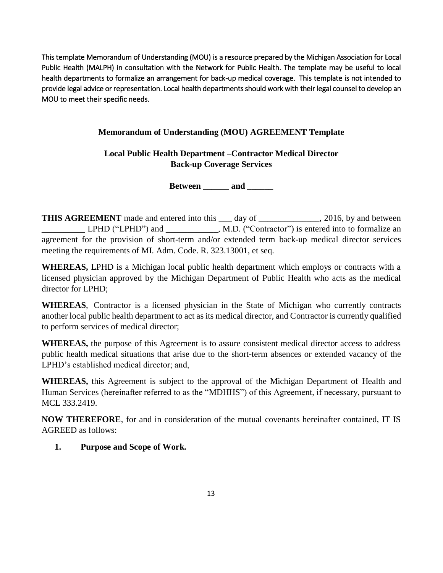This template Memorandum of Understanding (MOU) is a resource prepared by the Michigan Association for Local Public Health (MALPH) in consultation with the Network for Public Health. The template may be useful to local health departments to formalize an arrangement for back-up medical coverage. This template is not intended to provide legal advice or representation. Local health departments should work with their legal counsel to develop an MOU to meet their specific needs.

## **Memorandum of Understanding (MOU) AGREEMENT Template**

# **Local Public Health Department –Contractor Medical Director Back-up Coverage Services**

**Between \_\_\_\_\_\_ and \_\_\_\_\_\_**

**THIS AGREEMENT** made and entered into this \_\_\_ day of \_\_\_\_\_\_\_\_\_\_\_\_, 2016, by and between \_\_\_\_\_\_\_\_\_\_ LPHD ("LPHD") and \_\_\_\_\_\_\_\_\_\_\_\_, M.D. ("Contractor") is entered into to formalize an agreement for the provision of short-term and/or extended term back-up medical director services meeting the requirements of MI. Adm. Code. R. 323.13001, et seq.

**WHEREAS,** LPHD is a Michigan local public health department which employs or contracts with a licensed physician approved by the Michigan Department of Public Health who acts as the medical director for LPHD;

**WHEREAS**, Contractor is a licensed physician in the State of Michigan who currently contracts another local public health department to act as its medical director, and Contractor is currently qualified to perform services of medical director;

**WHEREAS,** the purpose of this Agreement is to assure consistent medical director access to address public health medical situations that arise due to the short-term absences or extended vacancy of the LPHD's established medical director; and,

**WHEREAS,** this Agreement is subject to the approval of the Michigan Department of Health and Human Services (hereinafter referred to as the "MDHHS") of this Agreement, if necessary, pursuant to MCL 333.2419.

**NOW THEREFORE**, for and in consideration of the mutual covenants hereinafter contained, IT IS AGREED as follows:

#### **1. Purpose and Scope of Work.**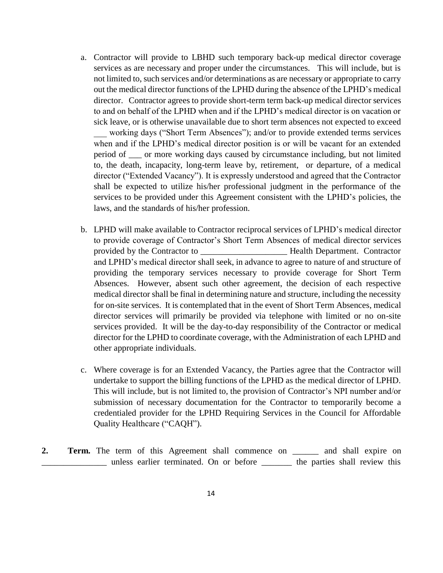- a. Contractor will provide to LBHD such temporary back-up medical director coverage services as are necessary and proper under the circumstances. This will include, but is not limited to, such services and/or determinations as are necessary or appropriate to carry out the medical director functions of the LPHD during the absence of the LPHD's medical director. Contractor agrees to provide short-term term back-up medical director services to and on behalf of the LPHD when and if the LPHD's medical director is on vacation or sick leave, or is otherwise unavailable due to short term absences not expected to exceed working days ("Short Term Absences"); and/or to provide extended terms services when and if the LPHD's medical director position is or will be vacant for an extended period of \_\_\_ or more working days caused by circumstance including, but not limited to, the death, incapacity, long-term leave by, retirement, or departure, of a medical director ("Extended Vacancy"). It is expressly understood and agreed that the Contractor shall be expected to utilize his/her professional judgment in the performance of the services to be provided under this Agreement consistent with the LPHD's policies, the laws, and the standards of his/her profession.
- b. LPHD will make available to Contractor reciprocal services of LPHD's medical director to provide coverage of Contractor's Short Term Absences of medical director services provided by the Contractor to \_\_\_\_\_\_\_\_\_\_\_\_\_\_\_\_\_\_\_\_ Health Department. Contractor and LPHD's medical director shall seek, in advance to agree to nature of and structure of providing the temporary services necessary to provide coverage for Short Term Absences. However, absent such other agreement, the decision of each respective medical director shall be final in determining nature and structure, including the necessity for on-site services. It is contemplated that in the event of Short Term Absences, medical director services will primarily be provided via telephone with limited or no on-site services provided. It will be the day-to-day responsibility of the Contractor or medical director for the LPHD to coordinate coverage, with the Administration of each LPHD and other appropriate individuals.
- c. Where coverage is for an Extended Vacancy, the Parties agree that the Contractor will undertake to support the billing functions of the LPHD as the medical director of LPHD. This will include, but is not limited to, the provision of Contractor's NPI number and/or submission of necessary documentation for the Contractor to temporarily become a credentialed provider for the LPHD Requiring Services in the Council for Affordable Quality Healthcare ("CAQH").
- **2. Term.** The term of this Agreement shall commence on \_\_\_\_\_\_ and shall expire on \_\_\_\_\_\_\_\_\_\_\_\_\_\_\_ unless earlier terminated. On or before \_\_\_\_\_\_\_ the parties shall review this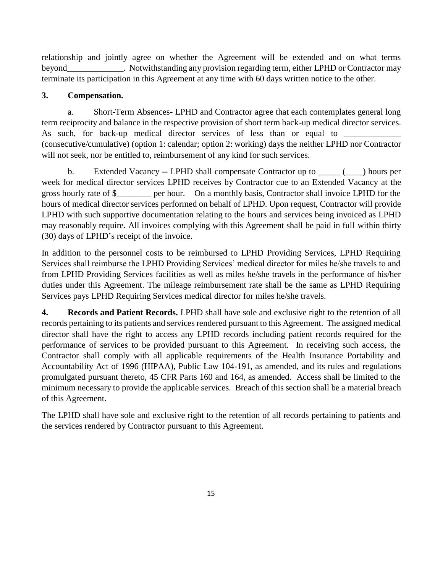relationship and jointly agree on whether the Agreement will be extended and on what terms beyond\_\_\_\_\_\_\_\_\_\_\_\_\_. Notwithstanding any provision regarding term, either LPHD or Contractor may terminate its participation in this Agreement at any time with 60 days written notice to the other.

## **3. Compensation.**

a. Short-Term Absences- LPHD and Contractor agree that each contemplates general long term reciprocity and balance in the respective provision of short term back-up medical director services. As such, for back-up medical director services of less than or equal to (consecutive/cumulative) (option 1: calendar; option 2: working) days the neither LPHD nor Contractor will not seek, nor be entitled to, reimbursement of any kind for such services.

b. Extended Vacancy -- LPHD shall compensate Contractor up to  $($ week for medical director services LPHD receives by Contractor cue to an Extended Vacancy at the gross hourly rate of \$\_\_\_\_\_\_\_\_ per hour. On a monthly basis, Contractor shall invoice LPHD for the hours of medical director services performed on behalf of LPHD. Upon request, Contractor will provide LPHD with such supportive documentation relating to the hours and services being invoiced as LPHD may reasonably require. All invoices complying with this Agreement shall be paid in full within thirty (30) days of LPHD's receipt of the invoice.

In addition to the personnel costs to be reimbursed to LPHD Providing Services, LPHD Requiring Services shall reimburse the LPHD Providing Services' medical director for miles he/she travels to and from LPHD Providing Services facilities as well as miles he/she travels in the performance of his/her duties under this Agreement. The mileage reimbursement rate shall be the same as LPHD Requiring Services pays LPHD Requiring Services medical director for miles he/she travels.

**4. Records and Patient Records.** LPHD shall have sole and exclusive right to the retention of all records pertaining to its patients and services rendered pursuant to this Agreement. The assigned medical director shall have the right to access any LPHD records including patient records required for the performance of services to be provided pursuant to this Agreement. In receiving such access, the Contractor shall comply with all applicable requirements of the Health Insurance Portability and Accountability Act of 1996 (HIPAA), Public Law 104-191, as amended, and its rules and regulations promulgated pursuant thereto, 45 CFR Parts 160 and 164, as amended. Access shall be limited to the minimum necessary to provide the applicable services. Breach of this section shall be a material breach of this Agreement.

The LPHD shall have sole and exclusive right to the retention of all records pertaining to patients and the services rendered by Contractor pursuant to this Agreement.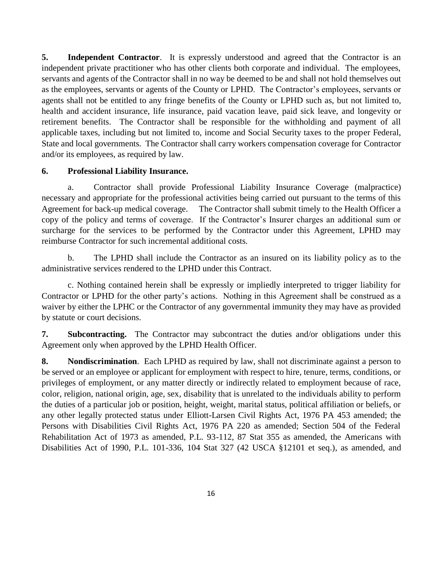**5.** Independent Contractor. It is expressly understood and agreed that the Contractor is an independent private practitioner who has other clients both corporate and individual. The employees, servants and agents of the Contractor shall in no way be deemed to be and shall not hold themselves out as the employees, servants or agents of the County or LPHD. The Contractor's employees, servants or agents shall not be entitled to any fringe benefits of the County or LPHD such as, but not limited to, health and accident insurance, life insurance, paid vacation leave, paid sick leave, and longevity or retirement benefits. The Contractor shall be responsible for the withholding and payment of all applicable taxes, including but not limited to, income and Social Security taxes to the proper Federal, State and local governments. The Contractor shall carry workers compensation coverage for Contractor and/or its employees, as required by law.

#### **6. Professional Liability Insurance.**

a. Contractor shall provide Professional Liability Insurance Coverage (malpractice) necessary and appropriate for the professional activities being carried out pursuant to the terms of this Agreement for back-up medical coverage. The Contractor shall submit timely to the Health Officer a copy of the policy and terms of coverage. If the Contractor's Insurer charges an additional sum or surcharge for the services to be performed by the Contractor under this Agreement, LPHD may reimburse Contractor for such incremental additional costs.

b. The LPHD shall include the Contractor as an insured on its liability policy as to the administrative services rendered to the LPHD under this Contract.

c. Nothing contained herein shall be expressly or impliedly interpreted to trigger liability for Contractor or LPHD for the other party's actions. Nothing in this Agreement shall be construed as a waiver by either the LPHC or the Contractor of any governmental immunity they may have as provided by statute or court decisions.

**7. Subcontracting.** The Contractor may subcontract the duties and/or obligations under this Agreement only when approved by the LPHD Health Officer.

**8. Nondiscrimination**. Each LPHD as required by law, shall not discriminate against a person to be served or an employee or applicant for employment with respect to hire, tenure, terms, conditions, or privileges of employment, or any matter directly or indirectly related to employment because of race, color, religion, national origin, age, sex, disability that is unrelated to the individuals ability to perform the duties of a particular job or position, height, weight, marital status, political affiliation or beliefs, or any other legally protected status under Elliott-Larsen Civil Rights Act, 1976 PA 453 amended; the Persons with Disabilities Civil Rights Act, 1976 PA 220 as amended; Section 504 of the Federal Rehabilitation Act of 1973 as amended, P.L. 93-112, 87 Stat 355 as amended, the Americans with Disabilities Act of 1990, P.L. 101-336, 104 Stat 327 (42 USCA §12101 et seq.), as amended, and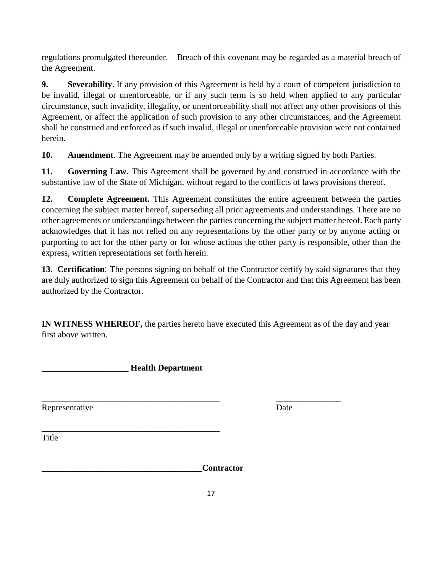regulations promulgated thereunder. Breach of this covenant may be regarded as a material breach of the Agreement.

**9. Severability**. If any provision of this Agreement is held by a court of competent jurisdiction to be invalid, illegal or unenforceable, or if any such term is so held when applied to any particular circumstance, such invalidity, illegality, or unenforceability shall not affect any other provisions of this Agreement, or affect the application of such provision to any other circumstances, and the Agreement shall be construed and enforced as if such invalid, illegal or unenforceable provision were not contained herein.

**10. Amendment**. The Agreement may be amended only by a writing signed by both Parties.

**11. Governing Law.** This Agreement shall be governed by and construed in accordance with the substantive law of the State of Michigan, without regard to the conflicts of laws provisions thereof.

**12. Complete Agreement.** This Agreement constitutes the entire agreement between the parties concerning the subject matter hereof, superseding all prior agreements and understandings. There are no other agreements or understandings between the parties concerning the subject matter hereof. Each party acknowledges that it has not relied on any representations by the other party or by anyone acting or purporting to act for the other party or for whose actions the other party is responsible, other than the express, written representations set forth herein.

**13. Certification**: The persons signing on behalf of the Contractor certify by said signatures that they are duly authorized to sign this Agreement on behalf of the Contractor and that this Agreement has been authorized by the Contractor.

**IN WITNESS WHEREOF,** the parties hereto have executed this Agreement as of the day and year first above written.

\_\_\_\_\_\_\_\_\_\_\_\_\_\_\_\_\_\_\_\_\_\_\_\_\_\_\_\_\_\_\_\_\_\_\_\_\_\_\_\_\_ \_\_\_\_\_\_\_\_\_\_\_\_\_\_\_

\_\_\_\_\_\_\_\_\_\_\_\_\_\_\_\_\_\_\_\_ **Health Department**

\_\_\_\_\_\_\_\_\_\_\_\_\_\_\_\_\_\_\_\_\_\_\_\_\_\_\_\_\_\_\_\_\_\_\_\_\_\_\_\_\_

Representative Date

**Title** 

**\_\_\_\_\_\_\_\_\_\_\_\_\_\_\_\_\_\_\_\_\_\_\_\_\_\_\_\_\_\_\_\_\_\_\_\_\_Contractor**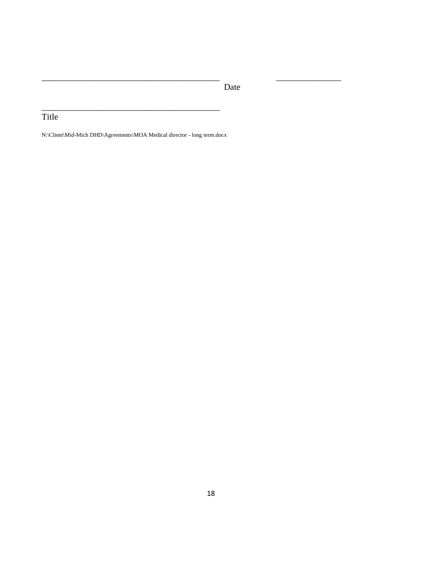Date

\_\_\_\_\_\_\_\_\_\_\_\_\_\_\_\_\_\_\_\_\_\_\_\_\_\_\_\_\_\_\_\_\_\_\_\_\_\_\_\_\_ \_\_\_\_\_\_\_\_\_\_\_\_\_\_\_

# Title

N:\Client\Mid-Mich DHD\Agreements\MOA Medical director - long term.docx

\_\_\_\_\_\_\_\_\_\_\_\_\_\_\_\_\_\_\_\_\_\_\_\_\_\_\_\_\_\_\_\_\_\_\_\_\_\_\_\_\_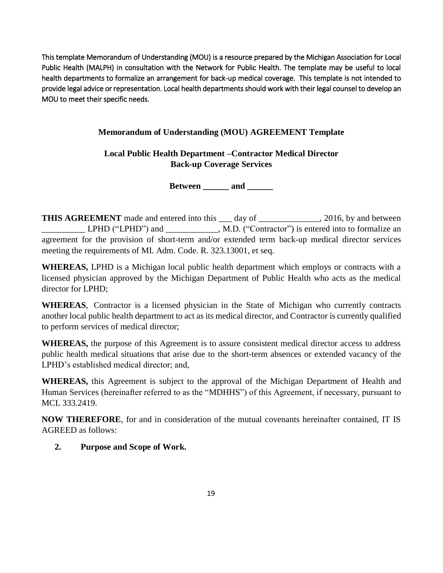This template Memorandum of Understanding (MOU) is a resource prepared by the Michigan Association for Local Public Health (MALPH) in consultation with the Network for Public Health. The template may be useful to local health departments to formalize an arrangement for back-up medical coverage. This template is not intended to provide legal advice or representation. Local health departments should work with their legal counsel to develop an MOU to meet their specific needs.

## **Memorandum of Understanding (MOU) AGREEMENT Template**

**Local Public Health Department –Contractor Medical Director Back-up Coverage Services** 

**Between \_\_\_\_\_\_ and \_\_\_\_\_\_**

**THIS AGREEMENT** made and entered into this \_\_\_ day of \_\_\_\_\_\_\_\_\_\_\_\_, 2016, by and between \_\_\_\_\_\_\_\_\_\_ LPHD ("LPHD") and \_\_\_\_\_\_\_\_\_\_\_\_, M.D. ("Contractor") is entered into to formalize an agreement for the provision of short-term and/or extended term back-up medical director services meeting the requirements of MI. Adm. Code. R. 323.13001, et seq.

**WHEREAS,** LPHD is a Michigan local public health department which employs or contracts with a licensed physician approved by the Michigan Department of Public Health who acts as the medical director for LPHD;

**WHEREAS**, Contractor is a licensed physician in the State of Michigan who currently contracts another local public health department to act as its medical director, and Contractor is currently qualified to perform services of medical director;

**WHEREAS,** the purpose of this Agreement is to assure consistent medical director access to address public health medical situations that arise due to the short-term absences or extended vacancy of the LPHD's established medical director; and,

**WHEREAS,** this Agreement is subject to the approval of the Michigan Department of Health and Human Services (hereinafter referred to as the "MDHHS") of this Agreement, if necessary, pursuant to MCL 333.2419.

**NOW THEREFORE**, for and in consideration of the mutual covenants hereinafter contained, IT IS AGREED as follows:

#### **2. Purpose and Scope of Work.**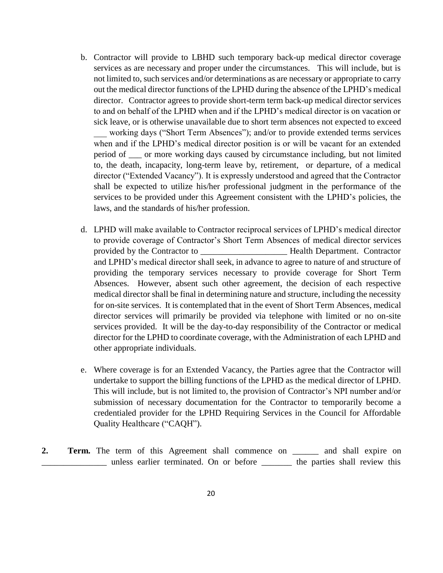- b. Contractor will provide to LBHD such temporary back-up medical director coverage services as are necessary and proper under the circumstances. This will include, but is not limited to, such services and/or determinations as are necessary or appropriate to carry out the medical director functions of the LPHD during the absence of the LPHD's medical director. Contractor agrees to provide short-term term back-up medical director services to and on behalf of the LPHD when and if the LPHD's medical director is on vacation or sick leave, or is otherwise unavailable due to short term absences not expected to exceed working days ("Short Term Absences"); and/or to provide extended terms services when and if the LPHD's medical director position is or will be vacant for an extended period of \_\_\_ or more working days caused by circumstance including, but not limited to, the death, incapacity, long-term leave by, retirement, or departure, of a medical director ("Extended Vacancy"). It is expressly understood and agreed that the Contractor shall be expected to utilize his/her professional judgment in the performance of the services to be provided under this Agreement consistent with the LPHD's policies, the laws, and the standards of his/her profession.
- d. LPHD will make available to Contractor reciprocal services of LPHD's medical director to provide coverage of Contractor's Short Term Absences of medical director services provided by the Contractor to \_\_\_\_\_\_\_\_\_\_\_\_\_\_\_\_\_\_\_\_ Health Department. Contractor and LPHD's medical director shall seek, in advance to agree to nature of and structure of providing the temporary services necessary to provide coverage for Short Term Absences. However, absent such other agreement, the decision of each respective medical director shall be final in determining nature and structure, including the necessity for on-site services. It is contemplated that in the event of Short Term Absences, medical director services will primarily be provided via telephone with limited or no on-site services provided. It will be the day-to-day responsibility of the Contractor or medical director for the LPHD to coordinate coverage, with the Administration of each LPHD and other appropriate individuals.
- e. Where coverage is for an Extended Vacancy, the Parties agree that the Contractor will undertake to support the billing functions of the LPHD as the medical director of LPHD. This will include, but is not limited to, the provision of Contractor's NPI number and/or submission of necessary documentation for the Contractor to temporarily become a credentialed provider for the LPHD Requiring Services in the Council for Affordable Quality Healthcare ("CAQH").
- **2. Term.** The term of this Agreement shall commence on \_\_\_\_\_\_ and shall expire on \_\_\_\_\_\_\_\_\_\_\_\_\_\_\_ unless earlier terminated. On or before \_\_\_\_\_\_\_ the parties shall review this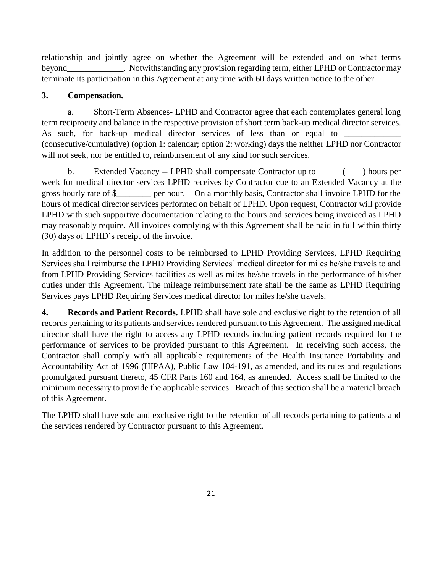relationship and jointly agree on whether the Agreement will be extended and on what terms beyond\_\_\_\_\_\_\_\_\_\_\_\_\_. Notwithstanding any provision regarding term, either LPHD or Contractor may terminate its participation in this Agreement at any time with 60 days written notice to the other.

## **3. Compensation.**

a. Short-Term Absences- LPHD and Contractor agree that each contemplates general long term reciprocity and balance in the respective provision of short term back-up medical director services. As such, for back-up medical director services of less than or equal to (consecutive/cumulative) (option 1: calendar; option 2: working) days the neither LPHD nor Contractor will not seek, nor be entitled to, reimbursement of any kind for such services.

b. Extended Vacancy -- LPHD shall compensate Contractor up to  $($ week for medical director services LPHD receives by Contractor cue to an Extended Vacancy at the gross hourly rate of \$\_\_\_\_\_\_\_\_ per hour. On a monthly basis, Contractor shall invoice LPHD for the hours of medical director services performed on behalf of LPHD. Upon request, Contractor will provide LPHD with such supportive documentation relating to the hours and services being invoiced as LPHD may reasonably require. All invoices complying with this Agreement shall be paid in full within thirty (30) days of LPHD's receipt of the invoice.

In addition to the personnel costs to be reimbursed to LPHD Providing Services, LPHD Requiring Services shall reimburse the LPHD Providing Services' medical director for miles he/she travels to and from LPHD Providing Services facilities as well as miles he/she travels in the performance of his/her duties under this Agreement. The mileage reimbursement rate shall be the same as LPHD Requiring Services pays LPHD Requiring Services medical director for miles he/she travels.

**4. Records and Patient Records.** LPHD shall have sole and exclusive right to the retention of all records pertaining to its patients and services rendered pursuant to this Agreement. The assigned medical director shall have the right to access any LPHD records including patient records required for the performance of services to be provided pursuant to this Agreement. In receiving such access, the Contractor shall comply with all applicable requirements of the Health Insurance Portability and Accountability Act of 1996 (HIPAA), Public Law 104-191, as amended, and its rules and regulations promulgated pursuant thereto, 45 CFR Parts 160 and 164, as amended. Access shall be limited to the minimum necessary to provide the applicable services. Breach of this section shall be a material breach of this Agreement.

The LPHD shall have sole and exclusive right to the retention of all records pertaining to patients and the services rendered by Contractor pursuant to this Agreement.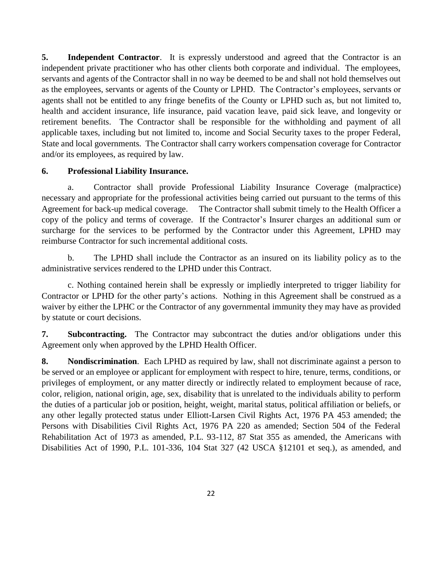**5.** Independent Contractor. It is expressly understood and agreed that the Contractor is an independent private practitioner who has other clients both corporate and individual. The employees, servants and agents of the Contractor shall in no way be deemed to be and shall not hold themselves out as the employees, servants or agents of the County or LPHD. The Contractor's employees, servants or agents shall not be entitled to any fringe benefits of the County or LPHD such as, but not limited to, health and accident insurance, life insurance, paid vacation leave, paid sick leave, and longevity or retirement benefits. The Contractor shall be responsible for the withholding and payment of all applicable taxes, including but not limited to, income and Social Security taxes to the proper Federal, State and local governments. The Contractor shall carry workers compensation coverage for Contractor and/or its employees, as required by law.

#### **6. Professional Liability Insurance.**

a. Contractor shall provide Professional Liability Insurance Coverage (malpractice) necessary and appropriate for the professional activities being carried out pursuant to the terms of this Agreement for back-up medical coverage. The Contractor shall submit timely to the Health Officer a copy of the policy and terms of coverage. If the Contractor's Insurer charges an additional sum or surcharge for the services to be performed by the Contractor under this Agreement, LPHD may reimburse Contractor for such incremental additional costs.

b. The LPHD shall include the Contractor as an insured on its liability policy as to the administrative services rendered to the LPHD under this Contract.

c. Nothing contained herein shall be expressly or impliedly interpreted to trigger liability for Contractor or LPHD for the other party's actions. Nothing in this Agreement shall be construed as a waiver by either the LPHC or the Contractor of any governmental immunity they may have as provided by statute or court decisions.

**7. Subcontracting.** The Contractor may subcontract the duties and/or obligations under this Agreement only when approved by the LPHD Health Officer.

**8. Nondiscrimination**. Each LPHD as required by law, shall not discriminate against a person to be served or an employee or applicant for employment with respect to hire, tenure, terms, conditions, or privileges of employment, or any matter directly or indirectly related to employment because of race, color, religion, national origin, age, sex, disability that is unrelated to the individuals ability to perform the duties of a particular job or position, height, weight, marital status, political affiliation or beliefs, or any other legally protected status under Elliott-Larsen Civil Rights Act, 1976 PA 453 amended; the Persons with Disabilities Civil Rights Act, 1976 PA 220 as amended; Section 504 of the Federal Rehabilitation Act of 1973 as amended, P.L. 93-112, 87 Stat 355 as amended, the Americans with Disabilities Act of 1990, P.L. 101-336, 104 Stat 327 (42 USCA §12101 et seq.), as amended, and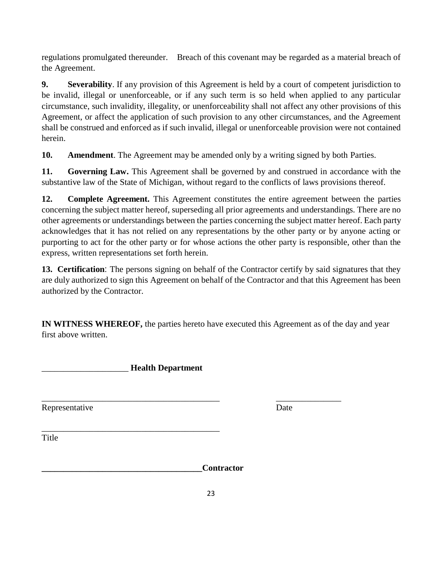regulations promulgated thereunder. Breach of this covenant may be regarded as a material breach of the Agreement.

**9. Severability**. If any provision of this Agreement is held by a court of competent jurisdiction to be invalid, illegal or unenforceable, or if any such term is so held when applied to any particular circumstance, such invalidity, illegality, or unenforceability shall not affect any other provisions of this Agreement, or affect the application of such provision to any other circumstances, and the Agreement shall be construed and enforced as if such invalid, illegal or unenforceable provision were not contained herein.

**10. Amendment**. The Agreement may be amended only by a writing signed by both Parties.

**11. Governing Law.** This Agreement shall be governed by and construed in accordance with the substantive law of the State of Michigan, without regard to the conflicts of laws provisions thereof.

**12. Complete Agreement.** This Agreement constitutes the entire agreement between the parties concerning the subject matter hereof, superseding all prior agreements and understandings. There are no other agreements or understandings between the parties concerning the subject matter hereof. Each party acknowledges that it has not relied on any representations by the other party or by anyone acting or purporting to act for the other party or for whose actions the other party is responsible, other than the express, written representations set forth herein.

**13. Certification**: The persons signing on behalf of the Contractor certify by said signatures that they are duly authorized to sign this Agreement on behalf of the Contractor and that this Agreement has been authorized by the Contractor.

**IN WITNESS WHEREOF,** the parties hereto have executed this Agreement as of the day and year first above written.

\_\_\_\_\_\_\_\_\_\_\_\_\_\_\_\_\_\_\_\_\_\_\_\_\_\_\_\_\_\_\_\_\_\_\_\_\_\_\_\_\_ \_\_\_\_\_\_\_\_\_\_\_\_\_\_\_

\_\_\_\_\_\_\_\_\_\_\_\_\_\_\_\_\_\_\_\_ **Health Department**

\_\_\_\_\_\_\_\_\_\_\_\_\_\_\_\_\_\_\_\_\_\_\_\_\_\_\_\_\_\_\_\_\_\_\_\_\_\_\_\_\_

Representative Date

**Title** 

**\_\_\_\_\_\_\_\_\_\_\_\_\_\_\_\_\_\_\_\_\_\_\_\_\_\_\_\_\_\_\_\_\_\_\_\_\_Contractor**